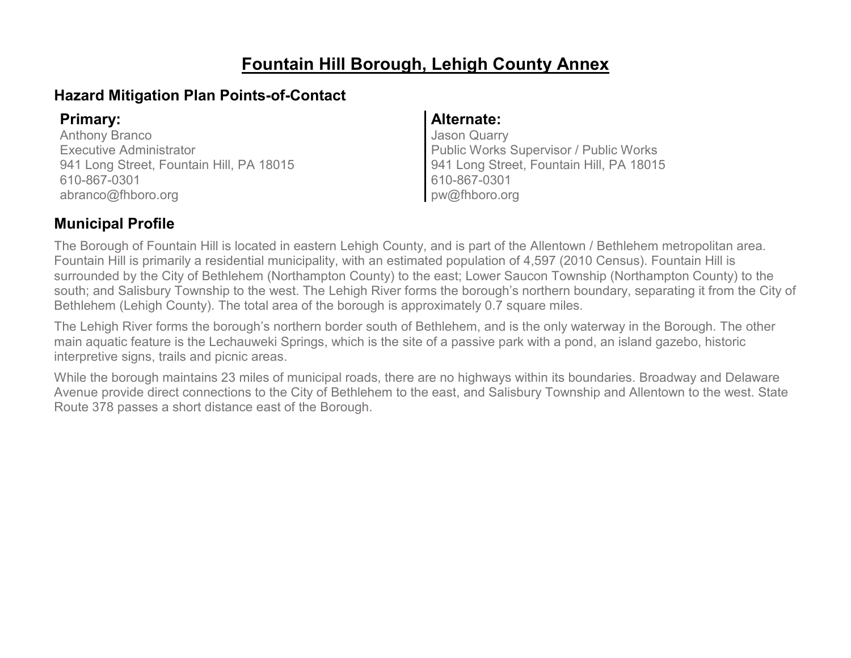## **Fountain Hill Borough, Lehigh County Annex**

### **Hazard Mitigation Plan Points-of-Contact**

Anthony Branco Executive Administrator 941 Long Street, Fountain Hill, PA 18015 610-867-0301 abranco@fhboro.org

### **Primary: Alternate:**

Jason Quarry Public Works Supervisor / Public Works 941 Long Street, Fountain Hill, PA 18015 610-867-0301 pw@fhboro.org

### **Municipal Profile**

The Borough of Fountain Hill is located in eastern Lehigh County, and is part of the Allentown / Bethlehem metropolitan area. Fountain Hill is primarily a residential municipality, with an estimated population of 4,597 (2010 Census). Fountain Hill is surrounded by the City of Bethlehem (Northampton County) to the east; Lower Saucon Township (Northampton County) to the south; and Salisbury Township to the west. The Lehigh River forms the borough's northern boundary, separating it from the City of Bethlehem (Lehigh County). The total area of the borough is approximately 0.7 square miles.

The Lehigh River forms the borough's northern border south of Bethlehem, and is the only waterway in the Borough. The other main aquatic feature is the Lechauweki Springs, which is the site of a passive park with a pond, an island gazebo, historic interpretive signs, trails and picnic areas.

While the borough maintains 23 miles of municipal roads, there are no highways within its boundaries. Broadway and Delaware Avenue provide direct connections to the City of Bethlehem to the east, and Salisbury Township and Allentown to the west. State Route 378 passes a short distance east of the Borough.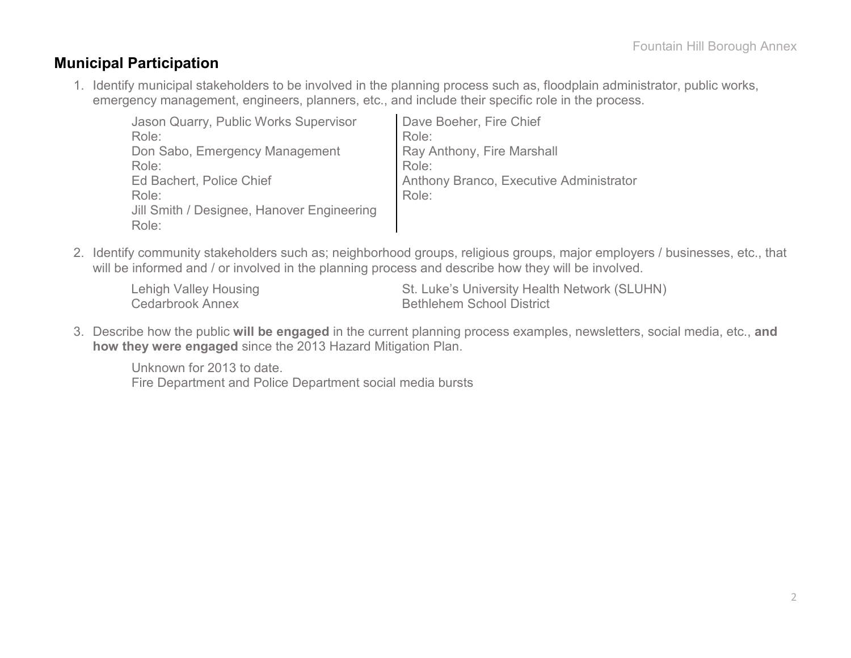### **Municipal Participation**

1. Identify municipal stakeholders to be involved in the planning process such as, floodplain administrator, public works, emergency management, engineers, planners, etc., and include their specific role in the process.

| Jason Quarry, Public Works Supervisor      | Dave Boeher, Fire Chief                 |
|--------------------------------------------|-----------------------------------------|
| Role:                                      | Role:                                   |
| Don Sabo, Emergency Management             | Ray Anthony, Fire Marshall              |
| Role:                                      | Role:                                   |
| Ed Bachert, Police Chief                   | Anthony Branco, Executive Administrator |
| Role:                                      | Role:                                   |
| Jill Smith / Designee, Hanover Engineering |                                         |
| Role:                                      |                                         |

2. Identify community stakeholders such as; neighborhood groups, religious groups, major employers / businesses, etc., that will be informed and / or involved in the planning process and describe how they will be involved.

| <b>Lehigh Valley Housing</b> | St. Luke's University Health Network (SLUHN) |
|------------------------------|----------------------------------------------|
| Cedarbrook Annex             | <b>Bethlehem School District</b>             |

3. Describe how the public **will be engaged** in the current planning process examples, newsletters, social media, etc., **and how they were engaged** since the 2013 Hazard Mitigation Plan.

Unknown for 2013 to date. Fire Department and Police Department social media bursts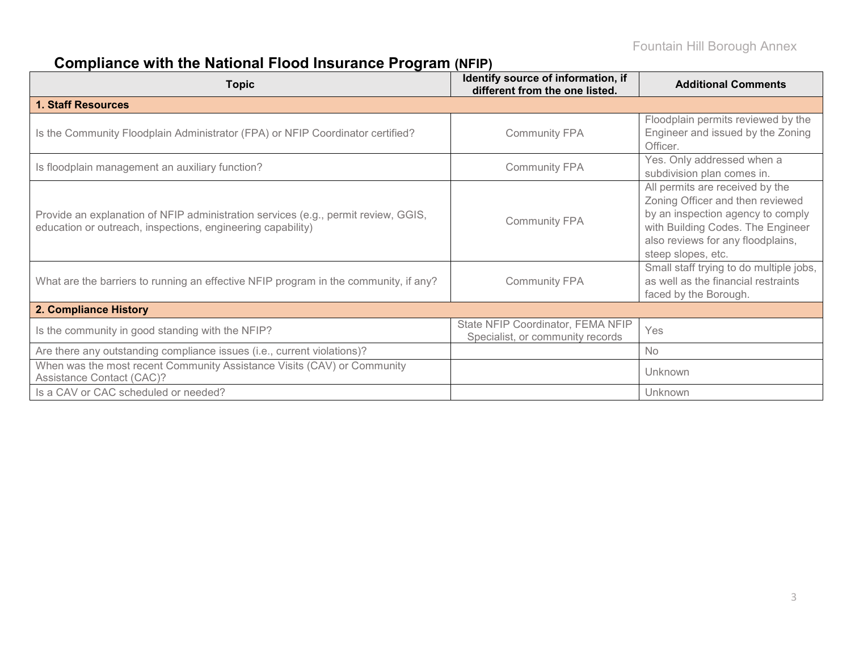# **Compliance with the National Flood Insurance Program (NFIP)**

| <b>Topic</b>                                                                                                                                      | Identify source of information, if<br>different from the one listed.  | <b>Additional Comments</b>                                                                                                                                                                               |
|---------------------------------------------------------------------------------------------------------------------------------------------------|-----------------------------------------------------------------------|----------------------------------------------------------------------------------------------------------------------------------------------------------------------------------------------------------|
| <b>1. Staff Resources</b>                                                                                                                         |                                                                       |                                                                                                                                                                                                          |
| Is the Community Floodplain Administrator (FPA) or NFIP Coordinator certified?                                                                    | <b>Community FPA</b>                                                  | Floodplain permits reviewed by the<br>Engineer and issued by the Zoning<br>Officer.                                                                                                                      |
| Is floodplain management an auxiliary function?                                                                                                   | <b>Community FPA</b>                                                  | Yes. Only addressed when a<br>subdivision plan comes in.                                                                                                                                                 |
| Provide an explanation of NFIP administration services (e.g., permit review, GGIS,<br>education or outreach, inspections, engineering capability) | <b>Community FPA</b>                                                  | All permits are received by the<br>Zoning Officer and then reviewed<br>by an inspection agency to comply<br>with Building Codes. The Engineer<br>also reviews for any floodplains,<br>steep slopes, etc. |
| What are the barriers to running an effective NFIP program in the community, if any?                                                              | <b>Community FPA</b>                                                  | Small staff trying to do multiple jobs,<br>as well as the financial restraints<br>faced by the Borough.                                                                                                  |
| 2. Compliance History                                                                                                                             |                                                                       |                                                                                                                                                                                                          |
| Is the community in good standing with the NFIP?                                                                                                  | State NFIP Coordinator, FEMA NFIP<br>Specialist, or community records | Yes                                                                                                                                                                                                      |
| Are there any outstanding compliance issues (i.e., current violations)?                                                                           |                                                                       | <b>No</b>                                                                                                                                                                                                |
| When was the most recent Community Assistance Visits (CAV) or Community<br>Assistance Contact (CAC)?                                              |                                                                       | Unknown                                                                                                                                                                                                  |
| Is a CAV or CAC scheduled or needed?                                                                                                              |                                                                       | Unknown                                                                                                                                                                                                  |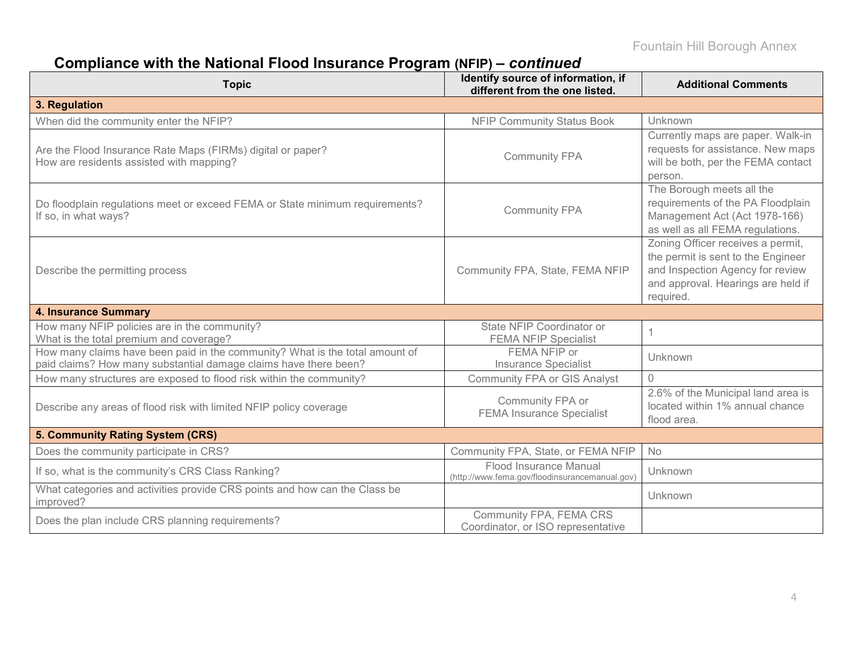# **Compliance with the National Flood Insurance Program (NFIP) –** *continued*

| <b>Topic</b>                                                                                                                                     | Identify source of information, if<br>different from the one listed.     | <b>Additional Comments</b>                                                                                                                                     |
|--------------------------------------------------------------------------------------------------------------------------------------------------|--------------------------------------------------------------------------|----------------------------------------------------------------------------------------------------------------------------------------------------------------|
| 3. Regulation                                                                                                                                    |                                                                          |                                                                                                                                                                |
| When did the community enter the NFIP?                                                                                                           | <b>NFIP Community Status Book</b>                                        | Unknown                                                                                                                                                        |
| Are the Flood Insurance Rate Maps (FIRMs) digital or paper?<br>How are residents assisted with mapping?                                          | <b>Community FPA</b>                                                     | Currently maps are paper. Walk-in<br>requests for assistance. New maps<br>will be both, per the FEMA contact<br>person.                                        |
| Do floodplain regulations meet or exceed FEMA or State minimum requirements?<br>If so, in what ways?                                             | <b>Community FPA</b>                                                     | The Borough meets all the<br>requirements of the PA Floodplain<br>Management Act (Act 1978-166)<br>as well as all FEMA regulations.                            |
| Describe the permitting process                                                                                                                  | Community FPA, State, FEMA NFIP                                          | Zoning Officer receives a permit,<br>the permit is sent to the Engineer<br>and Inspection Agency for review<br>and approval. Hearings are held if<br>required. |
| <b>4. Insurance Summary</b>                                                                                                                      |                                                                          |                                                                                                                                                                |
| How many NFIP policies are in the community?<br>What is the total premium and coverage?                                                          | State NFIP Coordinator or<br><b>FEMA NFIP Specialist</b>                 |                                                                                                                                                                |
| How many claims have been paid in the community? What is the total amount of<br>paid claims? How many substantial damage claims have there been? | FEMA NFIP or<br><b>Insurance Specialist</b>                              | Unknown                                                                                                                                                        |
| How many structures are exposed to flood risk within the community?                                                                              | <b>Community FPA or GIS Analyst</b>                                      | $\bigcap$                                                                                                                                                      |
| Describe any areas of flood risk with limited NFIP policy coverage                                                                               | Community FPA or<br><b>FEMA Insurance Specialist</b>                     | 2.6% of the Municipal land area is<br>located within 1% annual chance<br>flood area.                                                                           |
| 5. Community Rating System (CRS)                                                                                                                 |                                                                          |                                                                                                                                                                |
| Does the community participate in CRS?                                                                                                           | Community FPA, State, or FEMA NFIP                                       | No                                                                                                                                                             |
| If so, what is the community's CRS Class Ranking?                                                                                                | Flood Insurance Manual<br>(http://www.fema.gov/floodinsurancemanual.gov) | Unknown                                                                                                                                                        |
| What categories and activities provide CRS points and how can the Class be<br>improved?                                                          |                                                                          | Unknown                                                                                                                                                        |
| Does the plan include CRS planning requirements?                                                                                                 | Community FPA, FEMA CRS<br>Coordinator, or ISO representative            |                                                                                                                                                                |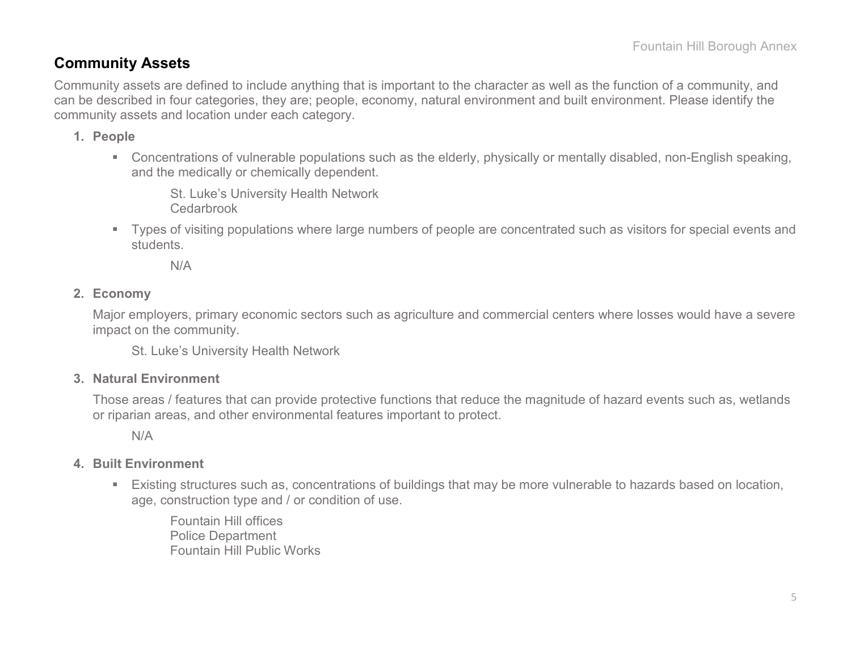### **Community Assets**

Community assets are defined to include anything that is important to the character as well as the function of a community, and can be described in four categories, they are; people, economy, natural environment and built environment. Please identify the community assets and location under each category.

#### **1. People**

 Concentrations of vulnerable populations such as the elderly, physically or mentally disabled, non-English speaking, and the medically or chemically dependent.

St. Luke's University Health Network Cedarbrook

 Types of visiting populations where large numbers of people are concentrated such as visitors for special events and students.

N/A

#### **2. Economy**

Major employers, primary economic sectors such as agriculture and commercial centers where losses would have a severe impact on the community.

St. Luke's University Health Network

#### **3. Natural Environment**

Those areas / features that can provide protective functions that reduce the magnitude of hazard events such as, wetlands or riparian areas, and other environmental features important to protect.

N/A

#### **4. Built Environment**

 Existing structures such as, concentrations of buildings that may be more vulnerable to hazards based on location, age, construction type and / or condition of use.

Fountain Hill offices Police Department Fountain Hill Public Works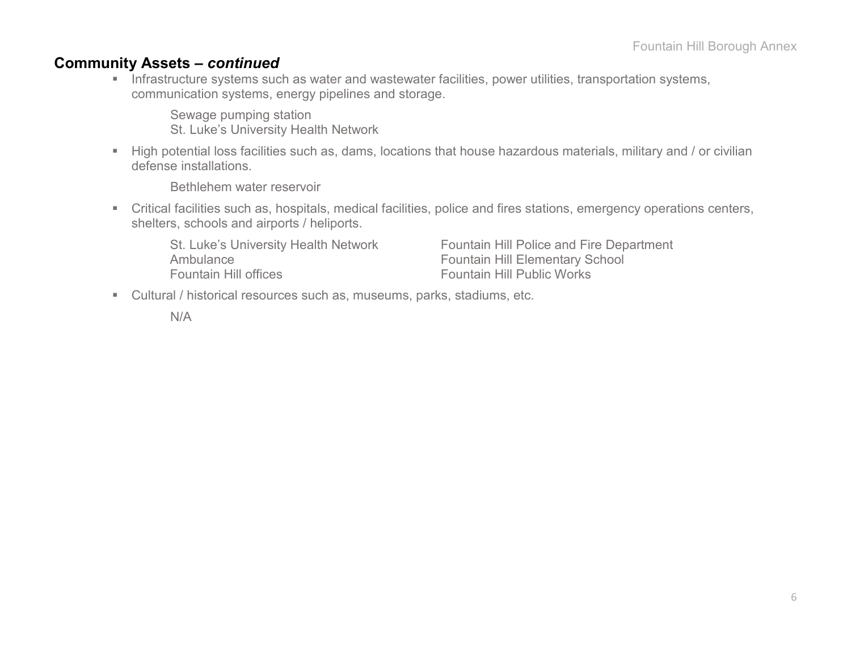### **Community Assets –** *continued*

**Infrastructure systems such as water and wastewater facilities, power utilities, transportation systems,** communication systems, energy pipelines and storage.

Sewage pumping station St. Luke's University Health Network

High potential loss facilities such as, dams, locations that house hazardous materials, military and / or civilian defense installations.

Bethlehem water reservoir

 Critical facilities such as, hospitals, medical facilities, police and fires stations, emergency operations centers, shelters, schools and airports / heliports.

Ambulance<br>
Fountain Hill Elementary School<br>
Fountain Hill Public Works

St. Luke's University Health Network Fountain Hill Police and Fire Department Fountain Hill Public Works

Cultural / historical resources such as, museums, parks, stadiums, etc.

N/A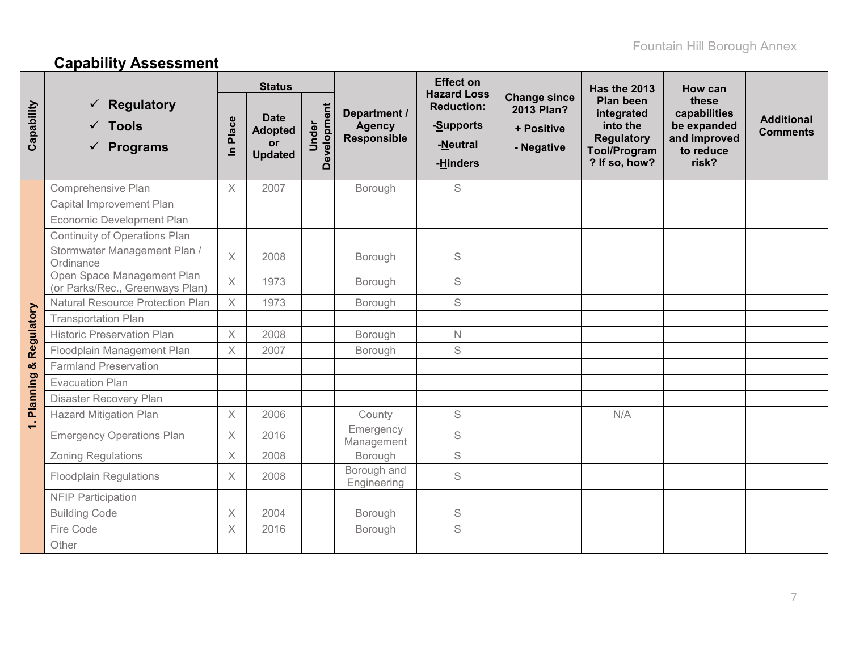# **Capability Assessment**

|             |                                                                  |                   | <b>Status</b>                                         |                      |                                                     | <b>Effect on</b><br><b>Hazard Loss</b>                 |                                                               | <b>Has the 2013</b>                                                                              | How can                                                                    |                                      |
|-------------|------------------------------------------------------------------|-------------------|-------------------------------------------------------|----------------------|-----------------------------------------------------|--------------------------------------------------------|---------------------------------------------------------------|--------------------------------------------------------------------------------------------------|----------------------------------------------------------------------------|--------------------------------------|
| Capability  | <b>Regulatory</b><br>$\checkmark$ Tools<br>$\checkmark$ Programs | Place<br>$\equiv$ | <b>Date</b><br><b>Adopted</b><br>or<br><b>Updated</b> | Development<br>Under | Department /<br><b>Agency</b><br><b>Responsible</b> | <b>Reduction:</b><br>-Supports<br>-Neutral<br>-Hinders | <b>Change since</b><br>2013 Plan?<br>+ Positive<br>- Negative | Plan been<br>integrated<br>into the<br><b>Regulatory</b><br><b>Tool/Program</b><br>? If so, how? | these<br>capabilities<br>be expanded<br>and improved<br>to reduce<br>risk? | <b>Additional</b><br><b>Comments</b> |
|             | Comprehensive Plan                                               | $\times$          | 2007                                                  |                      | Borough                                             | S                                                      |                                                               |                                                                                                  |                                                                            |                                      |
|             | Capital Improvement Plan                                         |                   |                                                       |                      |                                                     |                                                        |                                                               |                                                                                                  |                                                                            |                                      |
|             | Economic Development Plan                                        |                   |                                                       |                      |                                                     |                                                        |                                                               |                                                                                                  |                                                                            |                                      |
|             | <b>Continuity of Operations Plan</b>                             |                   |                                                       |                      |                                                     |                                                        |                                                               |                                                                                                  |                                                                            |                                      |
|             | Stormwater Management Plan /<br>Ordinance                        | X                 | 2008                                                  |                      | Borough                                             | S                                                      |                                                               |                                                                                                  |                                                                            |                                      |
|             | Open Space Management Plan<br>(or Parks/Rec., Greenways Plan)    | $\times$          | 1973                                                  |                      | Borough                                             | $\mathsf S$                                            |                                                               |                                                                                                  |                                                                            |                                      |
|             | <b>Natural Resource Protection Plan</b>                          | $\times$          | 1973                                                  |                      | Borough                                             | S                                                      |                                                               |                                                                                                  |                                                                            |                                      |
| Regulatory  | <b>Transportation Plan</b>                                       |                   |                                                       |                      |                                                     |                                                        |                                                               |                                                                                                  |                                                                            |                                      |
|             | <b>Historic Preservation Plan</b>                                | $\times$          | 2008                                                  |                      | Borough                                             | $\mathsf{N}$                                           |                                                               |                                                                                                  |                                                                            |                                      |
|             | Floodplain Management Plan                                       | $\times$          | 2007                                                  |                      | Borough                                             | S                                                      |                                                               |                                                                                                  |                                                                            |                                      |
| රේ          | <b>Farmland Preservation</b>                                     |                   |                                                       |                      |                                                     |                                                        |                                                               |                                                                                                  |                                                                            |                                      |
|             | <b>Evacuation Plan</b>                                           |                   |                                                       |                      |                                                     |                                                        |                                                               |                                                                                                  |                                                                            |                                      |
|             | Disaster Recovery Plan                                           |                   |                                                       |                      |                                                     |                                                        |                                                               |                                                                                                  |                                                                            |                                      |
| 1. Planning | <b>Hazard Mitigation Plan</b>                                    | $\mathsf X$       | 2006                                                  |                      | County                                              | $\mathsf S$                                            |                                                               | N/A                                                                                              |                                                                            |                                      |
|             | <b>Emergency Operations Plan</b>                                 | X                 | 2016                                                  |                      | Emergency<br>Management                             | $\mathsf S$                                            |                                                               |                                                                                                  |                                                                            |                                      |
|             | <b>Zoning Regulations</b>                                        | X                 | 2008                                                  |                      | Borough                                             | $\mathbb S$                                            |                                                               |                                                                                                  |                                                                            |                                      |
|             | <b>Floodplain Regulations</b>                                    | $\times$          | 2008                                                  |                      | Borough and<br>Engineering                          | $\mathsf S$                                            |                                                               |                                                                                                  |                                                                            |                                      |
|             | <b>NFIP Participation</b>                                        |                   |                                                       |                      |                                                     |                                                        |                                                               |                                                                                                  |                                                                            |                                      |
|             | <b>Building Code</b>                                             | X                 | 2004                                                  |                      | Borough                                             | S                                                      |                                                               |                                                                                                  |                                                                            |                                      |
|             | Fire Code                                                        | X                 | 2016                                                  |                      | Borough                                             | S                                                      |                                                               |                                                                                                  |                                                                            |                                      |
|             | Other                                                            |                   |                                                       |                      |                                                     |                                                        |                                                               |                                                                                                  |                                                                            |                                      |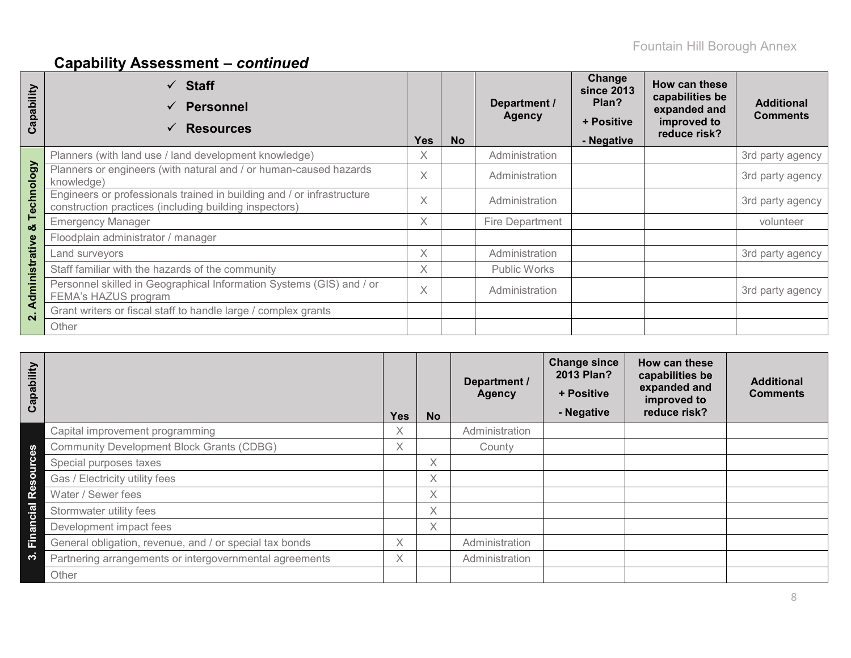# **Capability Assessment –** *continued*

| Capability              | $\checkmark$ Staff<br><b>Personnel</b><br>$\checkmark$<br><b>Resources</b>                                                       | <b>Yes</b> | <b>No</b> | Department /<br><b>Agency</b> | Change<br>since 2013<br>Plan?<br>+ Positive<br>- Negative | How can these<br>capabilities be<br>expanded and<br>improved to<br>reduce risk? | <b>Additional</b><br><b>Comments</b> |
|-------------------------|----------------------------------------------------------------------------------------------------------------------------------|------------|-----------|-------------------------------|-----------------------------------------------------------|---------------------------------------------------------------------------------|--------------------------------------|
|                         | Planners (with land use / land development knowledge)                                                                            | X          |           | Administration                |                                                           |                                                                                 | 3rd party agency                     |
|                         | Planners or engineers (with natural and / or human-caused hazards<br>knowledge)                                                  | $\times$   |           | Administration                |                                                           |                                                                                 | 3rd party agency                     |
| Technology              | Engineers or professionals trained in building and / or infrastructure<br>construction practices (including building inspectors) | $\times$   |           | Administration                |                                                           |                                                                                 | 3rd party agency                     |
| ×                       | <b>Emergency Manager</b>                                                                                                         | $\times$   |           | Fire Department               |                                                           |                                                                                 | volunteer                            |
|                         | Floodplain administrator / manager                                                                                               |            |           |                               |                                                           |                                                                                 |                                      |
|                         | Land surveyors                                                                                                                   | $\times$   |           | Administration                |                                                           |                                                                                 | 3rd party agency                     |
|                         | Staff familiar with the hazards of the community                                                                                 | X          |           | <b>Public Works</b>           |                                                           |                                                                                 |                                      |
| dministrative           | Personnel skilled in Geographical Information Systems (GIS) and / or<br>FEMA's HAZUS program                                     |            |           | Administration                |                                                           |                                                                                 | 3rd party agency                     |
| ⋖<br>$\dot{\mathbf{r}}$ | Grant writers or fiscal staff to handle large / complex grants                                                                   |            |           |                               |                                                           |                                                                                 |                                      |
|                         | Other                                                                                                                            |            |           |                               |                                                           |                                                                                 |                                      |

| Capability |                                                         | <b>Yes</b> | <b>No</b> | Department /<br><b>Agency</b> | <b>Change since</b><br>2013 Plan?<br>+ Positive<br>- Negative | How can these<br>capabilities be<br>expanded and<br>improved to<br>reduce risk? | <b>Additional</b><br><b>Comments</b> |
|------------|---------------------------------------------------------|------------|-----------|-------------------------------|---------------------------------------------------------------|---------------------------------------------------------------------------------|--------------------------------------|
|            | Capital improvement programming                         | X          |           | Administration                |                                                               |                                                                                 |                                      |
|            | <b>Community Development Block Grants (CDBG)</b>        | $\times$   |           | County                        |                                                               |                                                                                 |                                      |
| Resources  | Special purposes taxes                                  |            | $\times$  |                               |                                                               |                                                                                 |                                      |
|            | Gas / Electricity utility fees                          |            | $\times$  |                               |                                                               |                                                                                 |                                      |
|            | Water / Sewer fees                                      |            | $\times$  |                               |                                                               |                                                                                 |                                      |
| Financial  | Stormwater utility fees                                 |            | $\times$  |                               |                                                               |                                                                                 |                                      |
|            | Development impact fees                                 |            | $\times$  |                               |                                                               |                                                                                 |                                      |
|            | General obligation, revenue, and / or special tax bonds | X          |           | Administration                |                                                               |                                                                                 |                                      |
| ကဲ         | Partnering arrangements or intergovernmental agreements | X          |           | Administration                |                                                               |                                                                                 |                                      |
|            | Other                                                   |            |           |                               |                                                               |                                                                                 |                                      |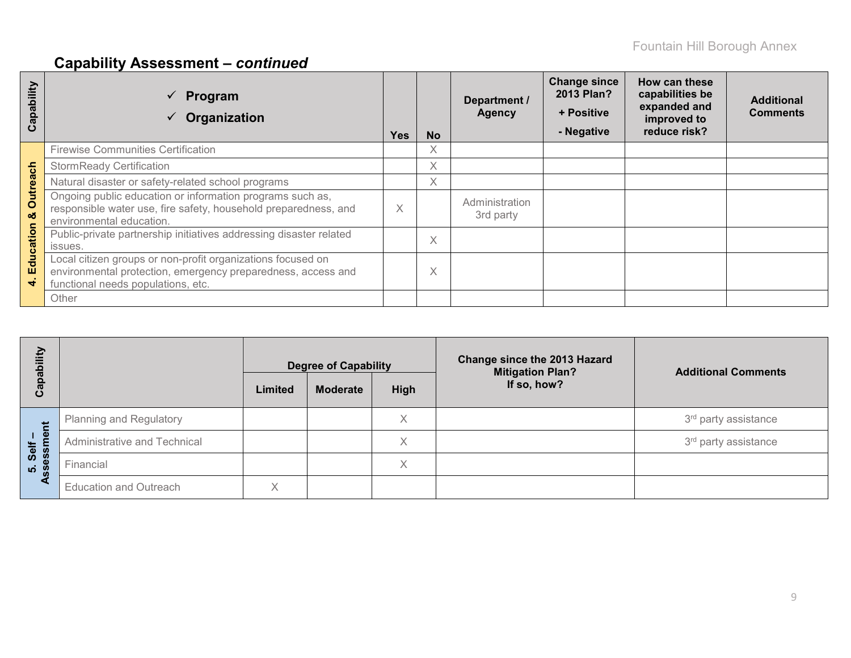# **Capability Assessment –** *continued*

| ability<br>ap<br>ပ                                   | Program<br>Organization                                                                                                                                           | <b>Yes</b> | <b>No</b> | Department /<br><b>Agency</b> | <b>Change since</b><br>2013 Plan?<br>+ Positive<br>- Negative | How can these<br>capabilities be<br>expanded and<br>improved to<br>reduce risk? | <b>Additional</b><br><b>Comments</b> |
|------------------------------------------------------|-------------------------------------------------------------------------------------------------------------------------------------------------------------------|------------|-----------|-------------------------------|---------------------------------------------------------------|---------------------------------------------------------------------------------|--------------------------------------|
|                                                      | <b>Firewise Communities Certification</b>                                                                                                                         |            | X         |                               |                                                               |                                                                                 |                                      |
|                                                      | <b>StormReady Certification</b>                                                                                                                                   |            | X         |                               |                                                               |                                                                                 |                                      |
|                                                      | Natural disaster or safety-related school programs                                                                                                                |            | Χ         |                               |                                                               |                                                                                 |                                      |
| <b>Outreach</b><br>න්                                | Ongoing public education or information programs such as,<br>responsible water use, fire safety, household preparedness, and<br>environmental education.          | X          |           | Administration<br>3rd party   |                                                               |                                                                                 |                                      |
| ation                                                | Public-private partnership initiatives addressing disaster related<br>issues.                                                                                     |            | X         |                               |                                                               |                                                                                 |                                      |
| ပ<br>$\frac{1}{\sigma}$<br>Ш<br>$\blacktriangledown$ | Local citizen groups or non-profit organizations focused on<br>environmental protection, emergency preparedness, access and<br>functional needs populations, etc. |            | X         |                               |                                                               |                                                                                 |                                      |
|                                                      | Other                                                                                                                                                             |            |           |                               |                                                               |                                                                                 |                                      |

| ξ<br>ලි            |                                | Limited | <b>Degree of Capability</b><br><b>Moderate</b> | High | <b>Change since the 2013 Hazard</b><br><b>Mitigation Plan?</b><br>If so, how? | <b>Additional Comments</b>       |
|--------------------|--------------------------------|---------|------------------------------------------------|------|-------------------------------------------------------------------------------|----------------------------------|
| だ                  | <b>Planning and Regulatory</b> |         |                                                | Χ    |                                                                               | 3 <sup>rd</sup> party assistance |
| ு<br>Self          | Administrative and Technical   |         |                                                | X    |                                                                               | 3 <sup>rd</sup> party assistance |
| sessi<br><b>LO</b> | Financial                      |         |                                                | Χ    |                                                                               |                                  |
|                    | <b>Education and Outreach</b>  | X       |                                                |      |                                                                               |                                  |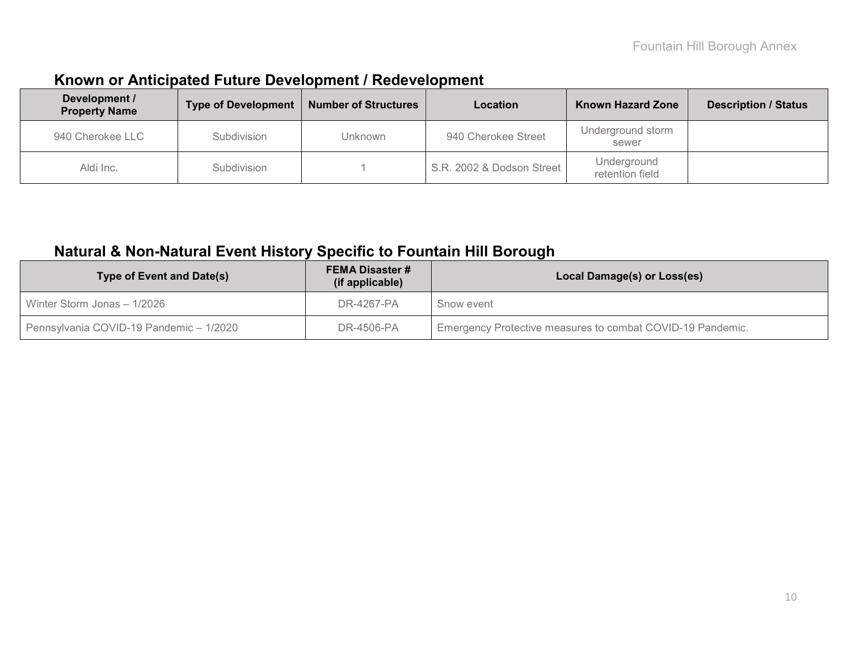### **Known or Anticipated Future Development / Redevelopment**

| Development /<br><b>Property Name</b> | <b>Type of Development</b> | <b>Number of Structures</b> | Location                  | <b>Known Hazard Zone</b>       | <b>Description / Status</b> |
|---------------------------------------|----------------------------|-----------------------------|---------------------------|--------------------------------|-----------------------------|
| 940 Cherokee LLC                      | Subdivision                | <b>Unknown</b>              | 940 Cherokee Street       | Underground storm<br>sewer     |                             |
| Aldi Inc.                             | Subdivision                |                             | S.R. 2002 & Dodson Street | Underground<br>retention field |                             |

## **Natural & Non-Natural Event History Specific to Fountain Hill Borough**

| <b>Type of Event and Date(s)</b>        | <b>FEMA Disaster #</b><br>(if applicable) | Local Damage(s) or Loss(es)                                |
|-----------------------------------------|-------------------------------------------|------------------------------------------------------------|
| Winter Storm Jonas - 1/2026             | DR-4267-PA                                | Snow event                                                 |
| Pennsylvania COVID-19 Pandemic - 1/2020 | DR-4506-PA                                | Emergency Protective measures to combat COVID-19 Pandemic. |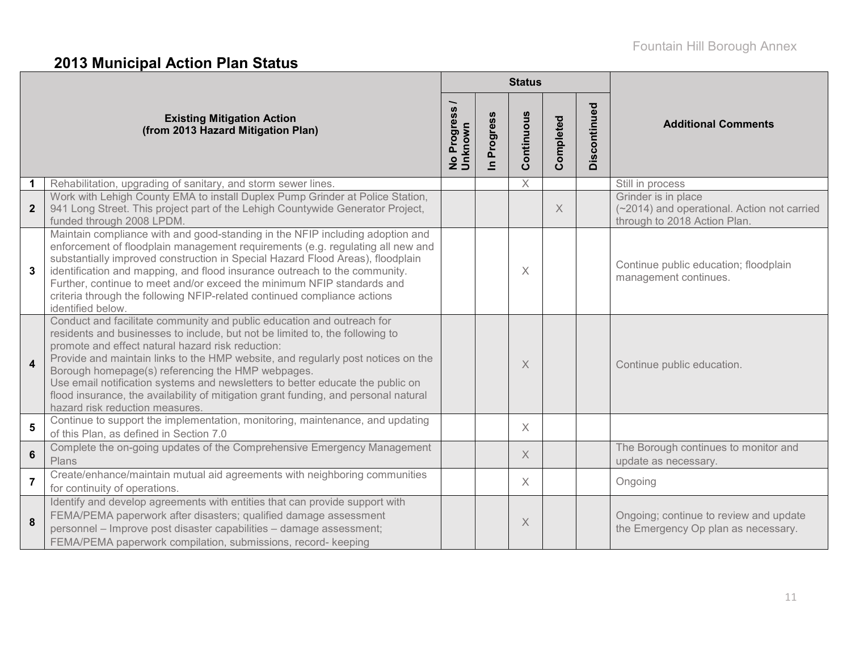# **2013 Municipal Action Plan Status**

|                         |                                                                                                                                                                                                                                                                                                                                                                                                                                                                                                                                                                  |                        |                        | <b>Status</b> |           |              |                                                                                                    |
|-------------------------|------------------------------------------------------------------------------------------------------------------------------------------------------------------------------------------------------------------------------------------------------------------------------------------------------------------------------------------------------------------------------------------------------------------------------------------------------------------------------------------------------------------------------------------------------------------|------------------------|------------------------|---------------|-----------|--------------|----------------------------------------------------------------------------------------------------|
|                         | <b>Existing Mitigation Action</b><br>(from 2013 Hazard Mitigation Plan)                                                                                                                                                                                                                                                                                                                                                                                                                                                                                          | No Progress<br>Unknown | Progress<br>$\epsilon$ | Continuous    | Completed | Discontinued | <b>Additional Comments</b>                                                                         |
|                         | Rehabilitation, upgrading of sanitary, and storm sewer lines.                                                                                                                                                                                                                                                                                                                                                                                                                                                                                                    |                        |                        | X             |           |              | Still in process                                                                                   |
| $\mathbf{2}$            | Work with Lehigh County EMA to install Duplex Pump Grinder at Police Station,<br>941 Long Street. This project part of the Lehigh Countywide Generator Project,<br>funded through 2008 LPDM.                                                                                                                                                                                                                                                                                                                                                                     |                        |                        |               | $\times$  |              | Grinder is in place<br>(~2014) and operational. Action not carried<br>through to 2018 Action Plan. |
| 3                       | Maintain compliance with and good-standing in the NFIP including adoption and<br>enforcement of floodplain management requirements (e.g. regulating all new and<br>substantially improved construction in Special Hazard Flood Areas), floodplain<br>identification and mapping, and flood insurance outreach to the community.<br>Further, continue to meet and/or exceed the minimum NFIP standards and<br>criteria through the following NFIP-related continued compliance actions<br>identified below.                                                       |                        |                        | $\times$      |           |              | Continue public education; floodplain<br>management continues.                                     |
| $\overline{\mathbf{4}}$ | Conduct and facilitate community and public education and outreach for<br>residents and businesses to include, but not be limited to, the following to<br>promote and effect natural hazard risk reduction:<br>Provide and maintain links to the HMP website, and regularly post notices on the<br>Borough homepage(s) referencing the HMP webpages.<br>Use email notification systems and newsletters to better educate the public on<br>flood insurance, the availability of mitigation grant funding, and personal natural<br>hazard risk reduction measures. |                        |                        | $\times$      |           |              | Continue public education.                                                                         |
| 5                       | Continue to support the implementation, monitoring, maintenance, and updating<br>of this Plan, as defined in Section 7.0                                                                                                                                                                                                                                                                                                                                                                                                                                         |                        |                        | $\times$      |           |              |                                                                                                    |
| $6\phantom{1}$          | Complete the on-going updates of the Comprehensive Emergency Management<br>Plans                                                                                                                                                                                                                                                                                                                                                                                                                                                                                 |                        |                        | $\times$      |           |              | The Borough continues to monitor and<br>update as necessary.                                       |
| $\overline{7}$          | Create/enhance/maintain mutual aid agreements with neighboring communities<br>for continuity of operations.                                                                                                                                                                                                                                                                                                                                                                                                                                                      |                        |                        | $\times$      |           |              | Ongoing                                                                                            |
| 8                       | Identify and develop agreements with entities that can provide support with<br>FEMA/PEMA paperwork after disasters; qualified damage assessment<br>personnel - Improve post disaster capabilities - damage assessment;<br>FEMA/PEMA paperwork compilation, submissions, record- keeping                                                                                                                                                                                                                                                                          |                        |                        | $\times$      |           |              | Ongoing; continue to review and update<br>the Emergency Op plan as necessary.                      |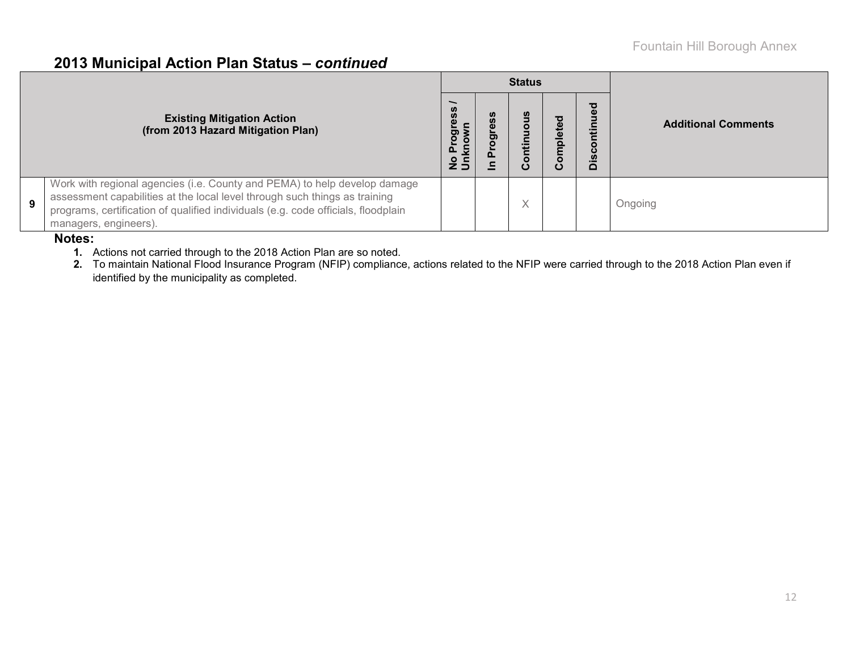### **2013 Municipal Action Plan Status –** *continued*

|   |                                                                                                                                                                                                                                                                       |                    |               | <b>Status</b> |              |                                               |                            |  |
|---|-----------------------------------------------------------------------------------------------------------------------------------------------------------------------------------------------------------------------------------------------------------------------|--------------------|---------------|---------------|--------------|-----------------------------------------------|----------------------------|--|
|   | <b>Existing Mitigation Action</b><br>(from 2013 Hazard Mitigation Plan)                                                                                                                                                                                               | ပ္ပိ<br>$2\bar{5}$ | <b>S</b><br>ත | ≔             | mpleted<br>O | ठ<br>$\omega$<br>Ξ<br>$\circ$<br>ပ<br>Ū,<br>۵ | <b>Additional Comments</b> |  |
| 9 | Work with regional agencies (i.e. County and PEMA) to help develop damage<br>assessment capabilities at the local level through such things as training<br>programs, certification of qualified individuals (e.g. code officials, floodplain<br>managers, engineers). |                    |               |               |              |                                               | Ongoing                    |  |

#### **Notes:**

**1.** Actions not carried through to the 2018 Action Plan are so noted.

**2.** To maintain National Flood Insurance Program (NFIP) compliance, actions related to the NFIP were carried through to the 2018 Action Plan even if identified by the municipality as completed.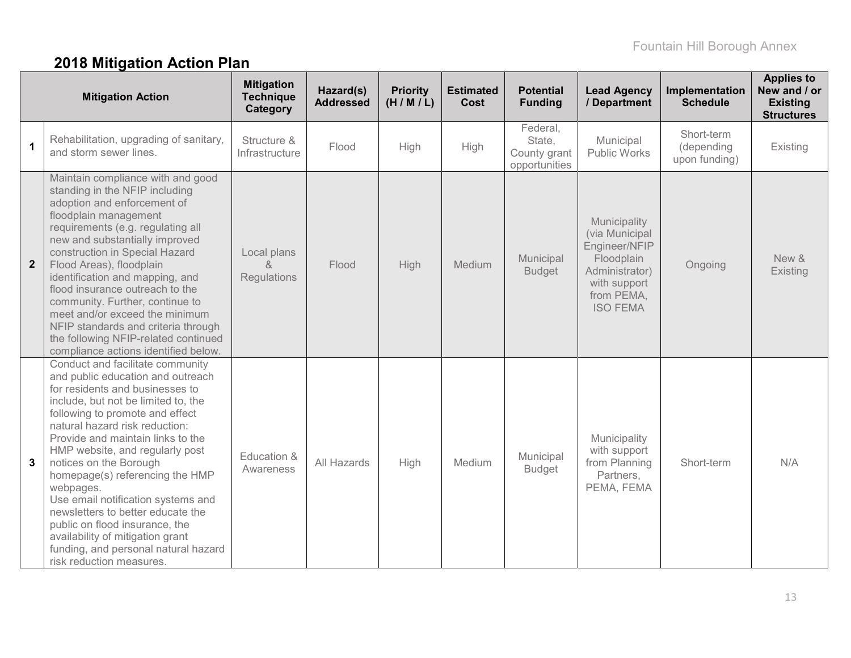# **2018 Mitigation Action Plan**

|              | <b>Mitigation Action</b>                                                                                                                                                                                                                                                                                                                                                                                                                                                                                                                                                                    | <b>Mitigation</b><br><b>Technique</b><br>Category | Hazard(s)<br><b>Addressed</b> | <b>Priority</b><br>(H/M/L) | <b>Estimated</b><br>Cost | <b>Potential</b><br><b>Funding</b>                  | <b>Lead Agency</b><br>/ Department                                                                                               | Implementation<br><b>Schedule</b>         | <b>Applies to</b><br>New and / or<br><b>Existing</b><br><b>Structures</b> |
|--------------|---------------------------------------------------------------------------------------------------------------------------------------------------------------------------------------------------------------------------------------------------------------------------------------------------------------------------------------------------------------------------------------------------------------------------------------------------------------------------------------------------------------------------------------------------------------------------------------------|---------------------------------------------------|-------------------------------|----------------------------|--------------------------|-----------------------------------------------------|----------------------------------------------------------------------------------------------------------------------------------|-------------------------------------------|---------------------------------------------------------------------------|
| $\mathbf 1$  | Rehabilitation, upgrading of sanitary,<br>and storm sewer lines.                                                                                                                                                                                                                                                                                                                                                                                                                                                                                                                            | Structure &<br>Infrastructure                     | Flood                         | High                       | High                     | Federal,<br>State,<br>County grant<br>opportunities | Municipal<br><b>Public Works</b>                                                                                                 | Short-term<br>(depending<br>upon funding) | Existing                                                                  |
| $\mathbf{2}$ | Maintain compliance with and good<br>standing in the NFIP including<br>adoption and enforcement of<br>floodplain management<br>requirements (e.g. regulating all<br>new and substantially improved<br>construction in Special Hazard<br>Flood Areas), floodplain<br>identification and mapping, and<br>flood insurance outreach to the<br>community. Further, continue to<br>meet and/or exceed the minimum<br>NFIP standards and criteria through<br>the following NFIP-related continued<br>compliance actions identified below.                                                          | Local plans<br>Regulations                        | Flood                         | High                       | Medium                   | Municipal<br><b>Budget</b>                          | Municipality<br>(via Municipal<br>Engineer/NFIP<br>Floodplain<br>Administrator)<br>with support<br>from PEMA,<br><b>ISO FEMA</b> | Ongoing                                   | New &<br>Existing                                                         |
| $\mathbf{3}$ | Conduct and facilitate community<br>and public education and outreach<br>for residents and businesses to<br>include, but not be limited to, the<br>following to promote and effect<br>natural hazard risk reduction:<br>Provide and maintain links to the<br>HMP website, and regularly post<br>notices on the Borough<br>homepage(s) referencing the HMP<br>webpages.<br>Use email notification systems and<br>newsletters to better educate the<br>public on flood insurance, the<br>availability of mitigation grant<br>funding, and personal natural hazard<br>risk reduction measures. | Education &<br>Awareness                          | All Hazards                   | High                       | Medium                   | Municipal<br><b>Budget</b>                          | Municipality<br>with support<br>from Planning<br>Partners,<br>PEMA, FEMA                                                         | Short-term                                | N/A                                                                       |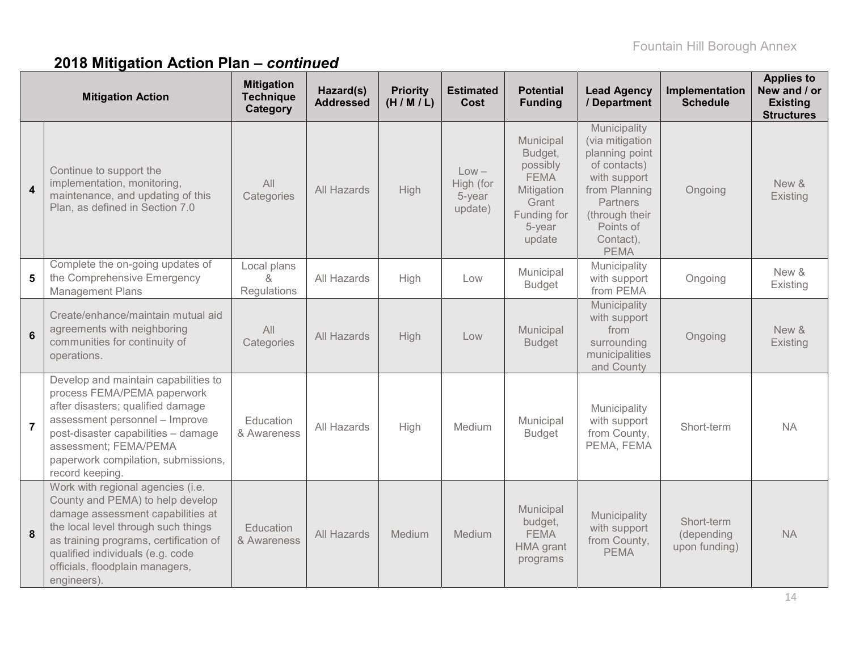# **2018 Mitigation Action Plan –** *continued*

|                         | <b>Mitigation Action</b>                                                                                                                                                                                                                                                          | <b>Mitigation</b><br><b>Technique</b><br>Category | Hazard(s)<br><b>Addressed</b> | <b>Priority</b><br>(H/M/L) | <b>Estimated</b><br>Cost                  | <b>Potential</b><br><b>Funding</b>                                                                        | <b>Lead Agency</b><br>/ Department                                                                                                                                               | Implementation<br><b>Schedule</b>         | <b>Applies to</b><br>New and / or<br><b>Existing</b><br><b>Structures</b> |
|-------------------------|-----------------------------------------------------------------------------------------------------------------------------------------------------------------------------------------------------------------------------------------------------------------------------------|---------------------------------------------------|-------------------------------|----------------------------|-------------------------------------------|-----------------------------------------------------------------------------------------------------------|----------------------------------------------------------------------------------------------------------------------------------------------------------------------------------|-------------------------------------------|---------------------------------------------------------------------------|
| $\overline{\mathbf{4}}$ | Continue to support the<br>implementation, monitoring,<br>maintenance, and updating of this<br>Plan, as defined in Section 7.0                                                                                                                                                    | All<br>Categories                                 | All Hazards                   | High                       | $Low -$<br>High (for<br>5-year<br>update) | Municipal<br>Budget,<br>possibly<br><b>FEMA</b><br>Mitigation<br>Grant<br>Funding for<br>5-year<br>update | Municipality<br>(via mitigation<br>planning point<br>of contacts)<br>with support<br>from Planning<br><b>Partners</b><br>(through their<br>Points of<br>Contact),<br><b>PEMA</b> | Ongoing                                   | New &<br>Existing                                                         |
| 5                       | Complete the on-going updates of<br>the Comprehensive Emergency<br><b>Management Plans</b>                                                                                                                                                                                        | Local plans<br>$\alpha$<br>Regulations            | All Hazards                   | High                       | Low                                       | Municipal<br><b>Budget</b>                                                                                | Municipality<br>with support<br>from PEMA                                                                                                                                        | Ongoing                                   | New &<br>Existing                                                         |
| $6\phantom{1}$          | Create/enhance/maintain mutual aid<br>agreements with neighboring<br>communities for continuity of<br>operations.                                                                                                                                                                 | All<br>Categories                                 | All Hazards                   | High                       | Low                                       | Municipal<br><b>Budget</b>                                                                                | Municipality<br>with support<br>from<br>surrounding<br>municipalities<br>and County                                                                                              | Ongoing                                   | New &<br>Existing                                                         |
| $\overline{7}$          | Develop and maintain capabilities to<br>process FEMA/PEMA paperwork<br>after disasters; qualified damage<br>assessment personnel - Improve<br>post-disaster capabilities - damage<br>assessment; FEMA/PEMA<br>paperwork compilation, submissions,<br>record keeping.              | Education<br>& Awareness                          | All Hazards                   | High                       | Medium                                    | Municipal<br><b>Budget</b>                                                                                | Municipality<br>with support<br>from County,<br>PEMA, FEMA                                                                                                                       | Short-term                                | <b>NA</b>                                                                 |
| 8                       | Work with regional agencies (i.e.<br>County and PEMA) to help develop<br>damage assessment capabilities at<br>the local level through such things<br>as training programs, certification of<br>qualified individuals (e.g. code<br>officials, floodplain managers,<br>engineers). | Education<br>& Awareness                          | All Hazards                   | Medium                     | Medium                                    | Municipal<br>budget,<br><b>FEMA</b><br>HMA grant<br>programs                                              | Municipality<br>with support<br>from County,<br><b>PEMA</b>                                                                                                                      | Short-term<br>(depending<br>upon funding) | <b>NA</b>                                                                 |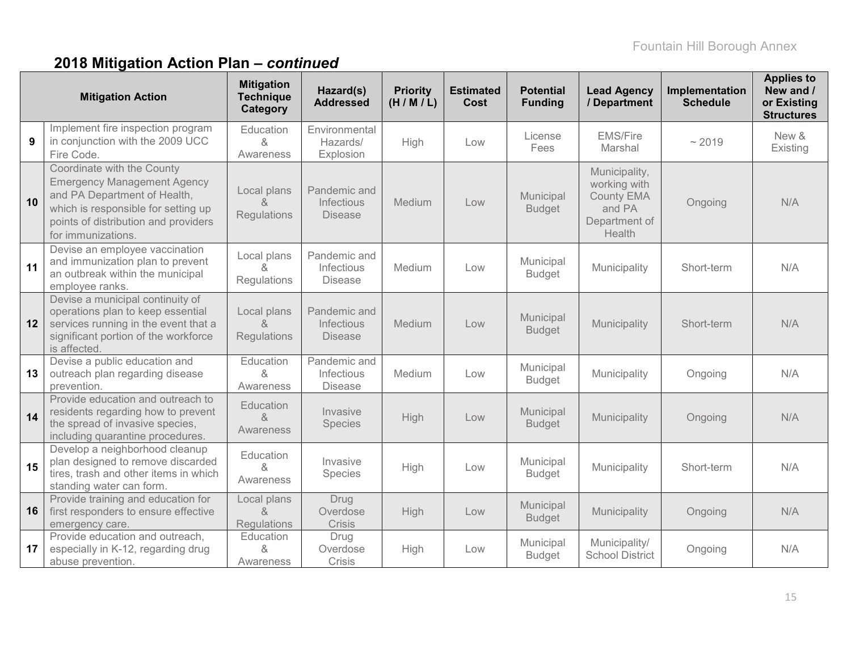# **2018 Mitigation Action Plan –** *continued*

|    | <b>Mitigation Action</b>                                                                                                                                                                              | <b>Mitigation</b><br><b>Technique</b><br>Category               | Hazard(s)<br><b>Addressed</b>                | <b>Priority</b><br>(H/M/L) | <b>Estimated</b><br><b>Cost</b> | <b>Potential</b><br><b>Funding</b> | <b>Lead Agency</b><br>/ Department                                                      | Implementation<br><b>Schedule</b> | <b>Applies to</b><br>New and /<br>or Existing<br><b>Structures</b> |
|----|-------------------------------------------------------------------------------------------------------------------------------------------------------------------------------------------------------|-----------------------------------------------------------------|----------------------------------------------|----------------------------|---------------------------------|------------------------------------|-----------------------------------------------------------------------------------------|-----------------------------------|--------------------------------------------------------------------|
| 9  | Implement fire inspection program<br>in conjunction with the 2009 UCC<br>Fire Code.                                                                                                                   | Education<br>&<br>Awareness                                     | Environmental<br>Hazards/<br>Explosion       | High                       | Low                             | License<br>Fees                    | <b>EMS/Fire</b><br>Marshal                                                              | ~2019                             | New &<br>Existing                                                  |
| 10 | Coordinate with the County<br><b>Emergency Management Agency</b><br>and PA Department of Health,<br>which is responsible for setting up<br>points of distribution and providers<br>for immunizations. | Local plans<br>8<br>Regulations                                 | Pandemic and<br>Infectious<br><b>Disease</b> | Medium                     | Low                             | Municipal<br><b>Budget</b>         | Municipality,<br>working with<br><b>County EMA</b><br>and PA<br>Department of<br>Health | Ongoing                           | N/A                                                                |
| 11 | Devise an employee vaccination<br>and immunization plan to prevent<br>an outbreak within the municipal<br>employee ranks.                                                                             | Local plans<br>Regulations                                      | Pandemic and<br>Infectious<br><b>Disease</b> | Medium                     | Low                             | Municipal<br><b>Budget</b>         | Municipality                                                                            | Short-term                        | N/A                                                                |
| 12 | Devise a municipal continuity of<br>operations plan to keep essential<br>services running in the event that a<br>significant portion of the workforce<br>is affected.                                 | Local plans<br>&<br>Regulations                                 | Pandemic and<br>Infectious<br><b>Disease</b> | Medium                     | Low                             | Municipal<br><b>Budget</b>         | Municipality                                                                            | Short-term                        | N/A                                                                |
| 13 | Devise a public education and<br>outreach plan regarding disease<br>prevention.                                                                                                                       | Education<br>&<br>Awareness                                     | Pandemic and<br>Infectious<br><b>Disease</b> | Medium                     | Low                             | Municipal<br><b>Budget</b>         | Municipality                                                                            | Ongoing                           | N/A                                                                |
| 14 | Provide education and outreach to<br>residents regarding how to prevent<br>the spread of invasive species,<br>including quarantine procedures.                                                        | Education<br>&<br>Awareness                                     | Invasive<br>Species                          | High                       | Low                             | Municipal<br><b>Budget</b>         | Municipality                                                                            | Ongoing                           | N/A                                                                |
| 15 | Develop a neighborhood cleanup<br>plan designed to remove discarded<br>tires, trash and other items in which<br>standing water can form.                                                              | Education<br>&<br>Awareness                                     | Invasive<br>Species                          | High                       | Low                             | Municipal<br><b>Budget</b>         | Municipality                                                                            | Short-term                        | N/A                                                                |
| 16 | Provide training and education for<br>first responders to ensure effective<br>emergency care.                                                                                                         | Local plans<br>$\mathcal{R}_{\mathbf{z}}$<br><b>Regulations</b> | Drug<br>Overdose<br>Crisis                   | High                       | Low                             | Municipal<br><b>Budget</b>         | Municipality                                                                            | Ongoing                           | N/A                                                                |
| 17 | Provide education and outreach,<br>especially in K-12, regarding drug<br>abuse prevention.                                                                                                            | Education<br>&<br>Awareness                                     | Drug<br>Overdose<br>Crisis                   | High                       | Low                             | Municipal<br><b>Budget</b>         | Municipality/<br><b>School District</b>                                                 | Ongoing                           | N/A                                                                |